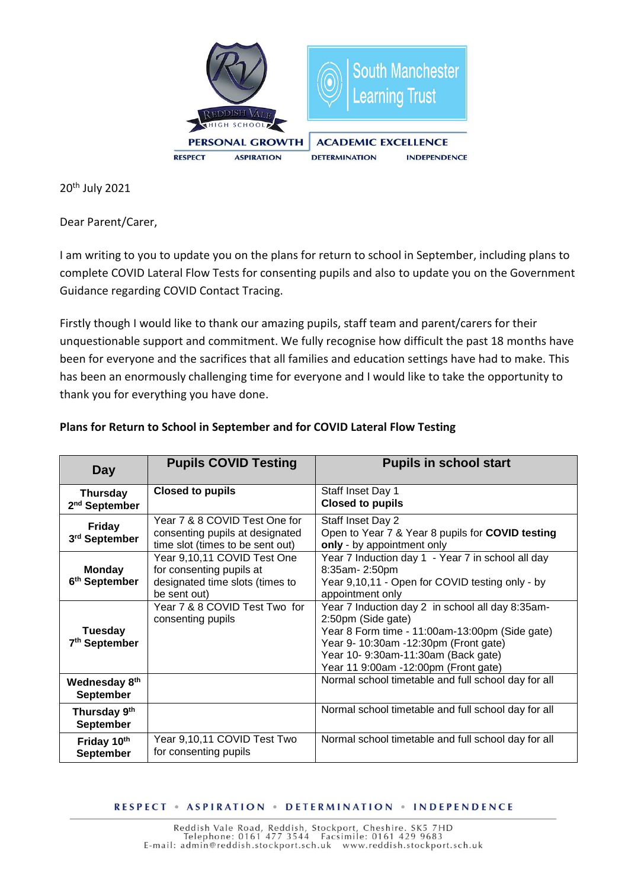

20th July 2021

Dear Parent/Carer,

I am writing to you to update you on the plans for return to school in September, including plans to complete COVID Lateral Flow Tests for consenting pupils and also to update you on the Government Guidance regarding COVID Contact Tracing.

Firstly though I would like to thank our amazing pupils, staff team and parent/carers for their unquestionable support and commitment. We fully recognise how difficult the past 18 months have been for everyone and the sacrifices that all families and education settings have had to make. This has been an enormously challenging time for everyone and I would like to take the opportunity to thank you for everything you have done.

| Day                                          | <b>Pupils COVID Testing</b>                                                                                | <b>Pupils in school start</b>                                                                                                                                                                                                                    |
|----------------------------------------------|------------------------------------------------------------------------------------------------------------|--------------------------------------------------------------------------------------------------------------------------------------------------------------------------------------------------------------------------------------------------|
| <b>Thursday</b><br>2 <sup>nd</sup> September | <b>Closed to pupils</b>                                                                                    | Staff Inset Day 1<br><b>Closed to pupils</b>                                                                                                                                                                                                     |
| <b>Friday</b><br>3rd September               | Year 7 & 8 COVID Test One for<br>consenting pupils at designated<br>time slot (times to be sent out)       | Staff Inset Day 2<br>Open to Year 7 & Year 8 pupils for COVID testing<br>only - by appointment only                                                                                                                                              |
| <b>Monday</b><br>6 <sup>th</sup> September   | Year 9,10,11 COVID Test One<br>for consenting pupils at<br>designated time slots (times to<br>be sent out) | Year 7 Induction day 1 - Year 7 in school all day<br>8:35am-2:50pm<br>Year 9,10,11 - Open for COVID testing only - by<br>appointment only                                                                                                        |
| <b>Tuesday</b><br>7 <sup>th</sup> September  | Year 7 & 8 COVID Test Two for<br>consenting pupils                                                         | Year 7 Induction day 2 in school all day 8:35am-<br>2:50pm (Side gate)<br>Year 8 Form time - 11:00am-13:00pm (Side gate)<br>Year 9- 10:30am -12:30pm (Front gate)<br>Year 10- 9:30am-11:30am (Back gate)<br>Year 11 9:00am -12:00pm (Front gate) |
| Wednesday 8th<br><b>September</b>            |                                                                                                            | Normal school timetable and full school day for all                                                                                                                                                                                              |
| Thursday 9th<br><b>September</b>             |                                                                                                            | Normal school timetable and full school day for all                                                                                                                                                                                              |
| Friday 10th<br><b>September</b>              | Year 9,10,11 COVID Test Two<br>for consenting pupils                                                       | Normal school timetable and full school day for all                                                                                                                                                                                              |

### **Plans for Return to School in September and for COVID Lateral Flow Testing**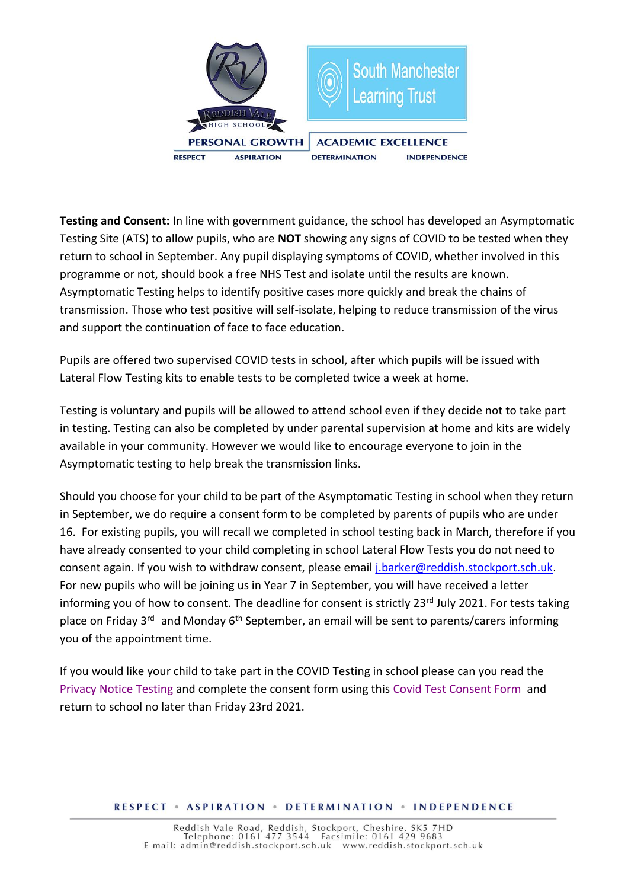

**Testing and Consent:** In line with government guidance, the school has developed an Asymptomatic Testing Site (ATS) to allow pupils, who are **NOT** showing any signs of COVID to be tested when they return to school in September. Any pupil displaying symptoms of COVID, whether involved in this programme or not, should book a free NHS Test and isolate until the results are known. Asymptomatic Testing helps to identify positive cases more quickly and break the chains of transmission. Those who test positive will self-isolate, helping to reduce transmission of the virus and support the continuation of face to face education.

Pupils are offered two supervised COVID tests in school, after which pupils will be issued with Lateral Flow Testing kits to enable tests to be completed twice a week at home.

Testing is voluntary and pupils will be allowed to attend school even if they decide not to take part in testing. Testing can also be completed by under parental supervision at home and kits are widely available in your community. However we would like to encourage everyone to join in the Asymptomatic testing to help break the transmission links.

Should you choose for your child to be part of the Asymptomatic Testing in school when they return in September, we do require a consent form to be completed by parents of pupils who are under 16. For existing pupils, you will recall we completed in school testing back in March, therefore if you have already consented to your child completing in school Lateral Flow Tests you do not need to consent again. If you wish to withdraw consent, please email [j.barker@reddish.stockport.sch.uk.](mailto:j.barker@reddish.stockport.sch.uk) For new pupils who will be joining us in Year 7 in September, you will have received a letter informing you of how to consent. The deadline for consent is strictly 23<sup>rd</sup> July 2021. For tests taking place on Friday  $3<sup>rd</sup>$  and Monday 6<sup>th</sup> September, an email will be sent to parents/carers informing you of the appointment time.

If you would like your child to take part in the COVID Testing in school please can you read the [Privacy Notice Testing](file://///rvsfs01/staff$/sian.williams/covid%2019/Covid-19%20Testing%20Privacy%20Notice.pdf) and complete the consent form using this [Covid Test Consent Form](https://www.surveymonkey.co.uk/r/Covidtestconsent) and return to school no later than Friday 23rd 2021.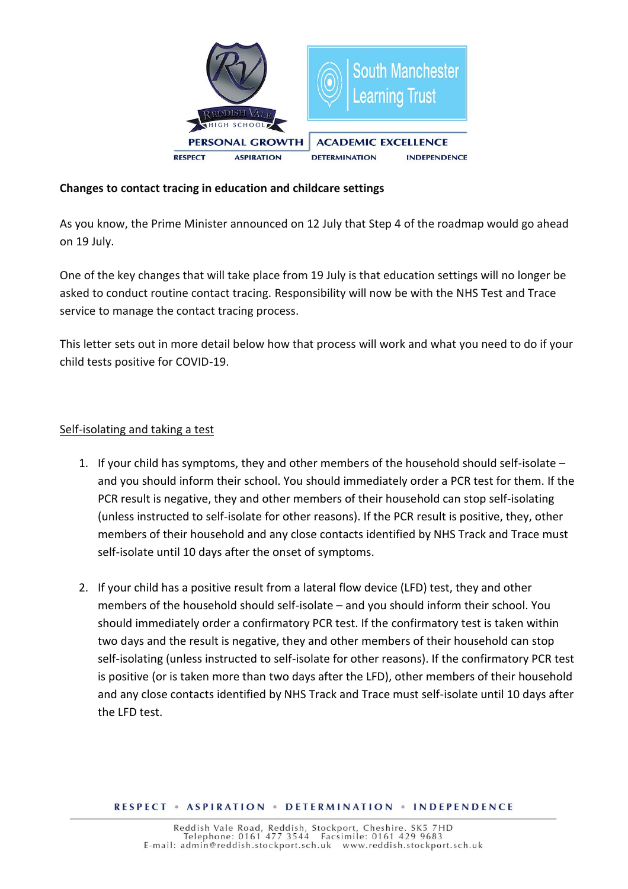

## **Changes to contact tracing in education and childcare settings**

As you know, the Prime Minister announced on 12 July that Step 4 of the roadmap would go ahead on 19 July.

One of the key changes that will take place from 19 July is that education settings will no longer be asked to conduct routine contact tracing. Responsibility will now be with the NHS Test and Trace service to manage the contact tracing process.

This letter sets out in more detail below how that process will work and what you need to do if your child tests positive for COVID-19.

### Self-isolating and taking a test

- 1. If your child has symptoms, they and other members of the household should self-isolate and you should inform their school. You should immediately order a PCR test for them. If the PCR result is negative, they and other members of their household can stop self-isolating (unless instructed to self-isolate for other reasons). If the PCR result is positive, they, other members of their household and any close contacts identified by NHS Track and Trace must self-isolate until 10 days after the onset of symptoms.
- 2. If your child has a positive result from a lateral flow device (LFD) test, they and other members of the household should self-isolate – and you should inform their school. You should immediately order a confirmatory PCR test. If the confirmatory test is taken within two days and the result is negative, they and other members of their household can stop self-isolating (unless instructed to self-isolate for other reasons). If the confirmatory PCR test is positive (or is taken more than two days after the LFD), other members of their household and any close contacts identified by NHS Track and Trace must self-isolate until 10 days after the LFD test.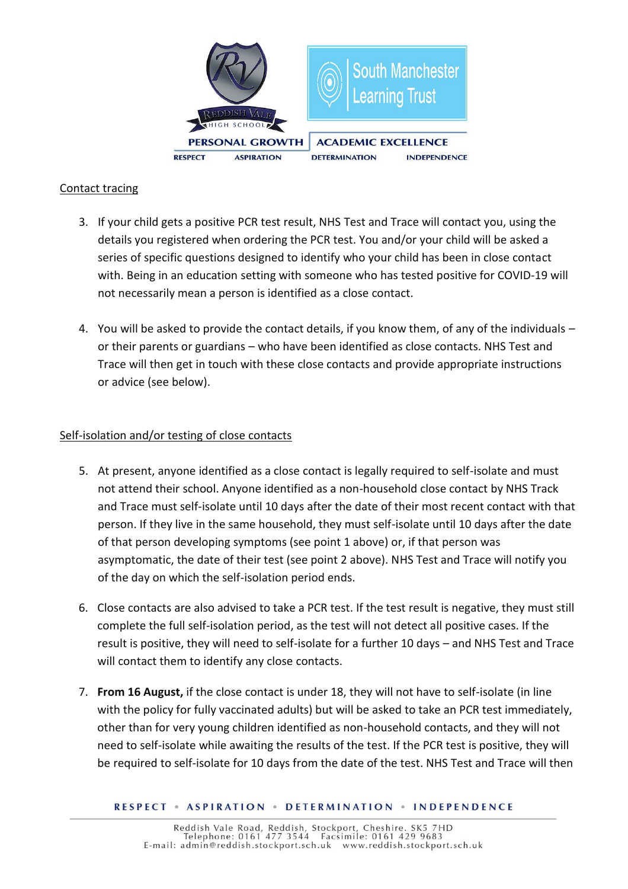

## Contact tracing

- 3. If your child gets a positive PCR test result, NHS Test and Trace will contact you, using the details you registered when ordering the PCR test. You and/or your child will be asked a series of specific questions designed to identify who your child has been in close contact with. Being in an education setting with someone who has tested positive for COVID-19 will not necessarily mean a person is identified as a close contact.
- 4. You will be asked to provide the contact details, if you know them, of any of the individuals or their parents or guardians – who have been identified as close contacts. NHS Test and Trace will then get in touch with these close contacts and provide appropriate instructions or advice (see below).

# Self-isolation and/or testing of close contacts

- 5. At present, anyone identified as a close contact is legally required to self-isolate and must not attend their school. Anyone identified as a non-household close contact by NHS Track and Trace must self-isolate until 10 days after the date of their most recent contact with that person. If they live in the same household, they must self-isolate until 10 days after the date of that person developing symptoms (see point 1 above) or, if that person was asymptomatic, the date of their test (see point 2 above). NHS Test and Trace will notify you of the day on which the self-isolation period ends.
- 6. Close contacts are also advised to take a PCR test. If the test result is negative, they must still complete the full self-isolation period, as the test will not detect all positive cases. If the result is positive, they will need to self-isolate for a further 10 days – and NHS Test and Trace will contact them to identify any close contacts.
- 7. **From 16 August,** if the close contact is under 18, they will not have to self-isolate (in line with the policy for fully vaccinated adults) but will be asked to take an PCR test immediately, other than for very young children identified as non-household contacts, and they will not need to self-isolate while awaiting the results of the test. If the PCR test is positive, they will be required to self-isolate for 10 days from the date of the test. NHS Test and Trace will then